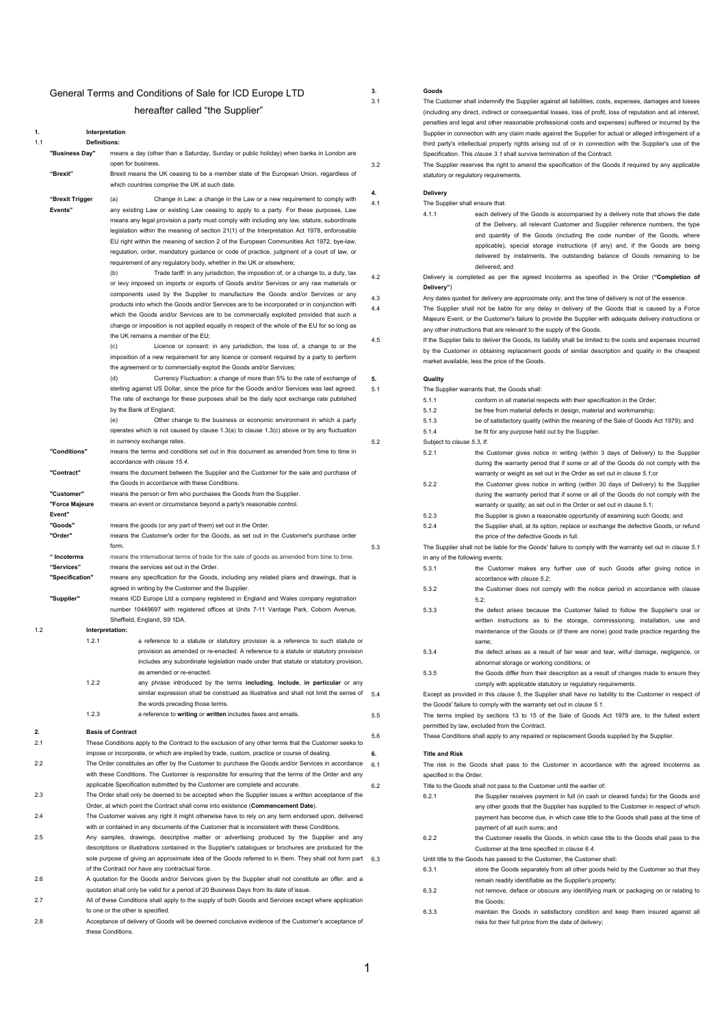# General Terms and Conditions of Sale for ICD Europe LTD hereafter called "the Supplier"

| 1.  |                     | Interpretation                                                                                                                          |     | Supplier in cor               |
|-----|---------------------|-----------------------------------------------------------------------------------------------------------------------------------------|-----|-------------------------------|
| 1.1 | <b>Definitions:</b> |                                                                                                                                         |     | third party's in              |
|     | "Business Day"      | means a day (other than a Saturday, Sunday or public holiday) when banks in London are                                                  |     | Specification.                |
|     |                     | open for business.                                                                                                                      | 3.2 | The Supplier r                |
|     | "Brexit"            | Brexit means the UK ceasing to be a member state of the European Union, regardless of                                                   |     | statutory or reg              |
|     |                     | which countries comprise the UK at such date.                                                                                           |     |                               |
|     | "Brexit Trigger     | (a)<br>Change in Law: a change in the Law or a new requirement to comply with                                                           | 4.  | <b>Delivery</b>               |
|     | Events"             | any existing Law or existing Law ceasing to apply to a party. For these purposes, Law                                                   | 4.1 | The Supplier s                |
|     |                     | means any legal provision a party must comply with including any law, stature, subordinate                                              |     | 4.1.1                         |
|     |                     | legislation within the meaning of section 21(1) of the Interpretation Act 1978, enforceable                                             |     |                               |
|     |                     | EU right within the meaning of section 2 of the European Communities Act 1972, bye-law,                                                 |     |                               |
|     |                     | regulation, order, mandatory guidance or code of practice, judgment of a court of law, or                                               |     |                               |
|     |                     | requirement of any regulatory body, whether in the UK or elsewhere;                                                                     |     |                               |
|     |                     | Trade tariff: in any jurisdiction, the imposition of, or a change to, a duty, tax<br>(b)                                                |     |                               |
|     |                     | or levy imposed on imports or exports of Goods and/or Services or any raw materials or                                                  | 4.2 | Delivery is co                |
|     |                     | components used by the Supplier to manufacture the Goods and/or Services or any                                                         |     | Delivery")                    |
|     |                     | products into which the Goods and/or Services are to be incorporated or in conjunction with                                             | 4.3 | Any dates quo                 |
|     |                     | which the Goods and/or Services are to be commercially exploited provided that such a                                                   | 4.4 | The Supplier<br>Majeure Event |
|     |                     | change or imposition is not applied equally in respect of the whole of the EU for so long as                                            |     | any other instr               |
|     |                     | the UK remains a member of the EU;                                                                                                      | 4.5 | If the Supplier               |
|     |                     | (c)<br>Licence or consent: in any jurisdiction, the loss of, a change to or the                                                         |     | by the Custon                 |
|     |                     | imposition of a new requirement for any licence or consent required by a party to perform                                               |     | market availab                |
|     |                     | the agreement or to commercially exploit the Goods and/or Services;                                                                     |     |                               |
|     |                     | (d)<br>Currency Fluctuation: a change of more than 5% to the rate of exchange of                                                        | 5.  | Quality                       |
|     |                     | sterling against US Dollar, since the price for the Goods and/or Services was last agreed.                                              | 5.1 | The Supplier v                |
|     |                     | The rate of exchange for these purposes shall be the daily spot exchange rate published                                                 |     | 5.1.1                         |
|     |                     | by the Bank of England;                                                                                                                 |     | 5.1.2                         |
|     |                     | (e)<br>Other change to the business or economic environment in which a party                                                            |     | 5.1.3                         |
|     |                     | operates which is not caused by clause 1.3(a) to clause 1.3(c) above or by any fluctuation                                              |     | 5.1.4                         |
|     |                     | in currency exchange rates.                                                                                                             | 5.2 | Subject to clau               |
|     | "Conditions"        | means the terms and conditions set out in this document as amended from time to time in                                                 |     | 5.2.1                         |
|     |                     | accordance with clause 15.4.                                                                                                            |     |                               |
|     | "Contract"          | means the document between the Supplier and the Customer for the sale and purchase of                                                   |     |                               |
|     |                     | the Goods in accordance with these Conditions.                                                                                          |     | 5.2.2                         |
|     | "Customer"          | means the person or firm who purchases the Goods from the Supplier.                                                                     |     |                               |
|     | "Force Majeure      | means an event or circumstance beyond a party's reasonable control.                                                                     |     |                               |
|     | Event"              |                                                                                                                                         |     | 5.2.3                         |
|     | "Goods"             | means the goods (or any part of them) set out in the Order.                                                                             |     | 5.2.4                         |
|     | "Order"             | means the Customer's order for the Goods, as set out in the Customer's purchase order                                                   |     |                               |
|     |                     | form.                                                                                                                                   | 5.3 | The Supplier s                |
|     | " Incoterms         | means the international terms of trade for the sale of goods as amended from time to time.                                              |     | in any of the fo              |
|     | "Services"          | means the services set out in the Order.                                                                                                |     | 5.3.1                         |
|     | "Specification"     | means any specification for the Goods, including any related plans and drawings, that is                                                |     |                               |
|     |                     | agreed in writing by the Customer and the Supplier.                                                                                     |     | 5.3.2                         |
|     | "Supplier"          | means ICD Europe Ltd a company registered in England and Wales company registration                                                     |     |                               |
|     |                     | number 10449697 with registered offices at Units 7-11 Vantage Park, Coborn Avenue,                                                      |     | 5.3.3                         |
|     |                     | Sheffield, England, S9 1DA.                                                                                                             |     |                               |
| 1.2 | 1.2.1               | Interpretation:<br>a reference to a statute or statutory provision is a reference to such statute or                                    |     |                               |
|     |                     | provision as amended or re-enacted. A reference to a statute or statutory provision                                                     |     |                               |
|     |                     | includes any subordinate legislation made under that statute or statutory provision,                                                    |     | 5.3.4                         |
|     |                     | as amended or re-enacted.                                                                                                               |     | 5.3.5                         |
|     | 1.2.2               | any phrase introduced by the terms including, include, in particular or any                                                             |     |                               |
|     |                     | similar expression shall be construed as illustrative and shall not limit the sense of                                                  | 5.4 | Except as pro                 |
|     |                     | the words preceding those terms.                                                                                                        |     | the Goods' fail               |
|     | 1.2.3               | a reference to writing or written includes faxes and emails.                                                                            | 5.5 | The terms im                  |
|     |                     |                                                                                                                                         |     | permitted by la               |
| 2.  |                     | <b>Basis of Contract</b>                                                                                                                | 5.6 | <b>These Condition</b>        |
| 2.1 |                     | These Conditions apply to the Contract to the exclusion of any other terms that the Customer seeks to                                   |     |                               |
|     |                     | impose or incorporate, or which are implied by trade, custom, practice or course of dealing.                                            | 6.  | <b>Title and Risk</b>         |
| 2.2 |                     | The Order constitutes an offer by the Customer to purchase the Goods and/or Services in accordance                                      | 6.1 | The risk in th                |
|     |                     | with these Conditions. The Customer is responsible for ensuring that the terms of the Order and any                                     |     | specified in the              |
|     |                     | applicable Specification submitted by the Customer are complete and accurate.                                                           | 6.2 | Title to the Go               |
| 2.3 |                     | The Order shall only be deemed to be accepted when the Supplier issues a written acceptance of the                                      |     | 6.2.1                         |
|     |                     | Order, at which point the Contract shall come into existence (Commencement Date).                                                       |     |                               |
| 2.4 |                     | The Customer waives any right it might otherwise have to rely on any term endorsed upon, delivered                                      |     |                               |
|     |                     | with or contained in any documents of the Customer that is inconsistent with these Conditions.                                          |     |                               |
| 2.5 |                     | Any samples, drawings, descriptive matter or advertising produced by the Supplier and any                                               |     | 6.2.2                         |
|     |                     | descriptions or illustrations contained in the Supplier's catalogues or brochures are produced for the                                  |     |                               |
|     |                     | sole purpose of giving an approximate idea of the Goods referred to in them. They shall not form part 6.3                               |     | Until title to the            |
|     |                     | of the Contract nor have any contractual force.                                                                                         |     | 6.3.1                         |
| 2.6 |                     | A quotation for the Goods and/or Services given by the Supplier shall not constitute an offer. and a                                    |     |                               |
|     |                     | quotation shall only be valid for a period of 20 Business Days from its date of issue.                                                  |     | 6.3.2                         |
| 2.7 |                     | All of these Conditions shall apply to the supply of both Goods and Services except where application                                   |     |                               |
| 2.8 |                     | to one or the other is specified.<br>Acceptance of delivery of Goods will be deemed conclusive evidence of the Customer's acceptance of |     | 6.3.3                         |
|     |                     | these Conditions.                                                                                                                       |     |                               |
|     |                     |                                                                                                                                         |     |                               |

**3. 3.1** 

<span id="page-0-4"></span><span id="page-0-3"></span><span id="page-0-2"></span><span id="page-0-0"></span>

| 3.                                                                                                       | Goods                           |                                                                                                               |  |  |  |  |
|----------------------------------------------------------------------------------------------------------|---------------------------------|---------------------------------------------------------------------------------------------------------------|--|--|--|--|
| 3.1                                                                                                      |                                 | The Customer shall indemnify the Supplier against all liabilities, costs, expenses, damages and losses        |  |  |  |  |
|                                                                                                          |                                 | (including any direct, indirect or consequential losses, loss of profit, loss of reputation and all interest, |  |  |  |  |
|                                                                                                          |                                 | penalties and legal and other reasonable professional costs and expenses) suffered or incurred by the         |  |  |  |  |
|                                                                                                          |                                 | Supplier in connection with any claim made against the Supplier for actual or alleged infringement of a       |  |  |  |  |
|                                                                                                          |                                 | third party's intellectual property rights arising out of or in connection with the Supplier's use of the     |  |  |  |  |
|                                                                                                          |                                 | Specification. This clause 3.1 shall survive termination of the Contract.                                     |  |  |  |  |
| 3.2                                                                                                      |                                 | The Supplier reserves the right to amend the specification of the Goods if required by any applicable         |  |  |  |  |
|                                                                                                          |                                 | statutory or regulatory requirements.                                                                         |  |  |  |  |
|                                                                                                          |                                 |                                                                                                               |  |  |  |  |
| 4.                                                                                                       | Delivery                        |                                                                                                               |  |  |  |  |
| 4.1                                                                                                      | The Supplier shall ensure that: |                                                                                                               |  |  |  |  |
|                                                                                                          | 4.1.1                           | each delivery of the Goods is accompanied by a delivery note that shows the date                              |  |  |  |  |
|                                                                                                          |                                 |                                                                                                               |  |  |  |  |
|                                                                                                          |                                 | of the Delivery, all relevant Customer and Supplier reference numbers, the type                               |  |  |  |  |
|                                                                                                          |                                 | and quantity of the Goods (including the code number of the Goods, where                                      |  |  |  |  |
|                                                                                                          |                                 | applicable), special storage instructions (if any) and, if the Goods are being                                |  |  |  |  |
|                                                                                                          |                                 | delivered by instalments, the outstanding balance of Goods remaining to be                                    |  |  |  |  |
|                                                                                                          |                                 | delivered; and                                                                                                |  |  |  |  |
| 4.2                                                                                                      |                                 | Delivery is completed as per the agreed Incoterms as specified in the Order ("Completion of                   |  |  |  |  |
|                                                                                                          | Delivery")                      |                                                                                                               |  |  |  |  |
| 4.3                                                                                                      |                                 | Any dates quoted for delivery are approximate only, and the time of delivery is not of the essence.           |  |  |  |  |
| The Supplier shall not be liable for any delay in delivery of the Goods that is caused by a Force<br>4.4 |                                 |                                                                                                               |  |  |  |  |
|                                                                                                          |                                 | Majeure Event. or the Customer's failure to provide the Supplier with adequate delivery instructions or       |  |  |  |  |
|                                                                                                          |                                 | any other instructions that are relevant to the supply of the Goods.                                          |  |  |  |  |
| 4.5                                                                                                      |                                 | If the Supplier fails to deliver the Goods, its liability shall be limited to the costs and expenses incurred |  |  |  |  |
|                                                                                                          |                                 | by the Customer in obtaining replacement goods of similar description and quality in the cheapest             |  |  |  |  |
|                                                                                                          |                                 | market available, less the price of the Goods.                                                                |  |  |  |  |
|                                                                                                          |                                 |                                                                                                               |  |  |  |  |
| 5.                                                                                                       | Quality                         |                                                                                                               |  |  |  |  |
| 5.1                                                                                                      |                                 | The Supplier warrants that, the Goods shall:                                                                  |  |  |  |  |
|                                                                                                          | 5.1.1                           | conform in all material respects with their specification in the Order;                                       |  |  |  |  |
|                                                                                                          | 5.1.2                           | be free from material defects in design, material and workmanship;                                            |  |  |  |  |
|                                                                                                          |                                 |                                                                                                               |  |  |  |  |
|                                                                                                          | 5.1.3                           | be of satisfactory quality (within the meaning of the Sale of Goods Act 1979); and                            |  |  |  |  |
|                                                                                                          | 5.1.4                           | be fit for any purpose held out by the Supplier.                                                              |  |  |  |  |
| 5.2                                                                                                      | Subject to clause 5.3, if:      |                                                                                                               |  |  |  |  |
|                                                                                                          | 5.2.1                           | the Customer gives notice in writing (within 3 days of Delivery) to the Supplier                              |  |  |  |  |
|                                                                                                          |                                 | during the warranty period that if some or all of the Goods do not comply with the                            |  |  |  |  |
|                                                                                                          |                                 | warranty or weight as set out in the Order as set out in clause 5.1;or                                        |  |  |  |  |
|                                                                                                          | 5.2.2                           | the Customer gives notice in writing (within 30 days of Delivery) to the Supplier                             |  |  |  |  |
|                                                                                                          |                                 | during the warranty period that if some or all of the Goods do not comply with the                            |  |  |  |  |
|                                                                                                          |                                 | warranty or quality; as set out in the Order or set out in clause 5.1;                                        |  |  |  |  |
|                                                                                                          | 5.2.3                           | the Supplier is given a reasonable opportunity of examining such Goods; and                                   |  |  |  |  |
|                                                                                                          | 5.2.4                           | the Supplier shall, at its option, replace or exchange the defective Goods, or refund                         |  |  |  |  |
|                                                                                                          |                                 | the price of the defective Goods in full.                                                                     |  |  |  |  |
| 5.3                                                                                                      |                                 | The Supplier shall not be liable for the Goods' failure to comply with the warranty set out in clause 5.1     |  |  |  |  |
|                                                                                                          |                                 | in any of the following events:                                                                               |  |  |  |  |
|                                                                                                          | 5.3.1                           |                                                                                                               |  |  |  |  |
|                                                                                                          |                                 | the Customer makes any further use of such Goods after giving notice in                                       |  |  |  |  |
|                                                                                                          |                                 | accordance with clause 5.2;                                                                                   |  |  |  |  |
|                                                                                                          | 5.3.2                           | the Customer does not comply with the notice period in accordance with clause                                 |  |  |  |  |
|                                                                                                          |                                 | 5.2;                                                                                                          |  |  |  |  |
|                                                                                                          | 5.3.3                           | the defect arises because the Customer failed to follow the Supplier's oral or                                |  |  |  |  |
|                                                                                                          |                                 | written instructions as to the storage, commissioning, installation, use and                                  |  |  |  |  |
|                                                                                                          |                                 | maintenance of the Goods or (if there are none) good trade practice regarding the                             |  |  |  |  |
|                                                                                                          |                                 | same;                                                                                                         |  |  |  |  |
|                                                                                                          | 5.3.4                           | the defect arises as a result of fair wear and tear, wilful damage, negligence, or                            |  |  |  |  |
|                                                                                                          |                                 | abnormal storage or working conditions; or                                                                    |  |  |  |  |
|                                                                                                          | 5.3.5                           | the Goods differ from their description as a result of changes made to ensure they                            |  |  |  |  |
|                                                                                                          |                                 | comply with applicable statutory or regulatory requirements.                                                  |  |  |  |  |
| 5.4                                                                                                      |                                 | Except as provided in this clause 5, the Supplier shall have no liability to the Customer in respect of       |  |  |  |  |
|                                                                                                          |                                 | the Goods' failure to comply with the warranty set out in clause 5.1.                                         |  |  |  |  |
|                                                                                                          |                                 | The terms implied by sections 13 to 15 of the Sale of Goods Act 1979 are, to the fullest extent               |  |  |  |  |
| 5.5                                                                                                      |                                 |                                                                                                               |  |  |  |  |
|                                                                                                          |                                 | permitted by law, excluded from the Contract.                                                                 |  |  |  |  |
| 5.6                                                                                                      |                                 | These Conditions shall apply to any repaired or replacement Goods supplied by the Supplier.                   |  |  |  |  |
| 6.                                                                                                       | <b>Title and Risk</b>           |                                                                                                               |  |  |  |  |
|                                                                                                          |                                 | The risk in the Goods shall pass to the Customer in accordance with the agreed Incoterms as                   |  |  |  |  |
| 6.1                                                                                                      |                                 |                                                                                                               |  |  |  |  |
|                                                                                                          | specified in the Order.         |                                                                                                               |  |  |  |  |
| 6.2                                                                                                      |                                 | Title to the Goods shall not pass to the Customer until the earlier of:                                       |  |  |  |  |
|                                                                                                          | 6.2.1                           | the Supplier receives payment in full (in cash or cleared funds) for the Goods and                            |  |  |  |  |
|                                                                                                          |                                 | any other goods that the Supplier has supplied to the Customer in respect of which                            |  |  |  |  |
|                                                                                                          |                                 | payment has become due, in which case title to the Goods shall pass at the time of                            |  |  |  |  |
|                                                                                                          |                                 | payment of all such sums; and                                                                                 |  |  |  |  |
|                                                                                                          | 6.2.2                           | the Customer resells the Goods, in which case title to the Goods shall pass to the                            |  |  |  |  |
|                                                                                                          |                                 | Customer at the time specified in clause 6.4.                                                                 |  |  |  |  |
| 6.3                                                                                                      |                                 | Until title to the Goods has passed to the Customer, the Customer shall:                                      |  |  |  |  |
|                                                                                                          | 6.3.1                           | store the Goods separately from all other goods held by the Customer so that they                             |  |  |  |  |
|                                                                                                          |                                 | remain readily identifiable as the Supplier's property;                                                       |  |  |  |  |
|                                                                                                          | 6.3.2                           | not remove, deface or obscure any identifying mark or packaging on or relating to                             |  |  |  |  |
|                                                                                                          |                                 |                                                                                                               |  |  |  |  |

- <span id="page-0-1"></span>the Goods; 6.3.3 maintain the Goods in satisfactory condition and keep them insured against all
- risks for their full price from the date of delivery;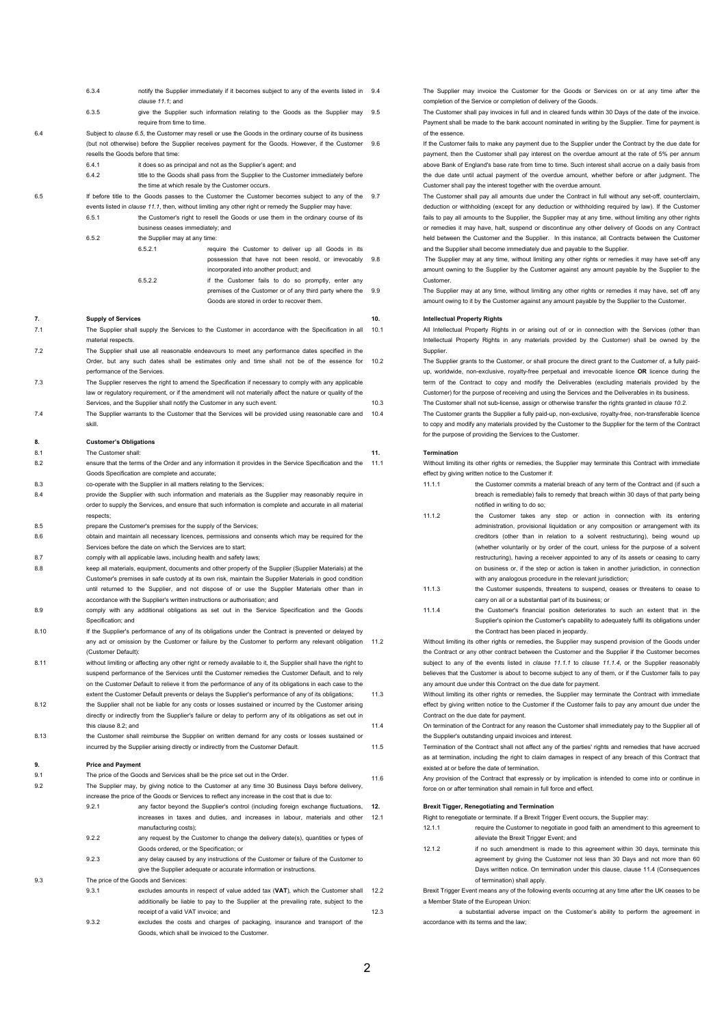<span id="page-1-2"></span><span id="page-1-0"></span>

|      | 6.3.4                                                                                             | notify the Supplier immediately if it becomes subject to any of the events listed in                                                                                                                       | 9.4  |  |  |
|------|---------------------------------------------------------------------------------------------------|------------------------------------------------------------------------------------------------------------------------------------------------------------------------------------------------------------|------|--|--|
|      |                                                                                                   | clause 11.1; and                                                                                                                                                                                           |      |  |  |
|      | 6.3.5                                                                                             | give the Supplier such information relating to the Goods as the Supplier may                                                                                                                               | 9.5  |  |  |
|      |                                                                                                   | require from time to time.                                                                                                                                                                                 |      |  |  |
| 6.4  |                                                                                                   | Subject to clause 6.5, the Customer may resell or use the Goods in the ordinary course of its business<br>(but not otherwise) before the Supplier receives payment for the Goods. However, if the Customer |      |  |  |
|      | 9.6<br>resells the Goods before that time:                                                        |                                                                                                                                                                                                            |      |  |  |
|      | 6.4.1                                                                                             | it does so as principal and not as the Supplier's agent; and                                                                                                                                               |      |  |  |
|      | 6.4.2                                                                                             | title to the Goods shall pass from the Supplier to the Customer immediately before                                                                                                                         |      |  |  |
|      |                                                                                                   | the time at which resale by the Customer occurs.                                                                                                                                                           |      |  |  |
| 6.5  |                                                                                                   | If before title to the Goods passes to the Customer the Customer becomes subject to any of the                                                                                                             | 9.7  |  |  |
|      |                                                                                                   | events listed in clause 11.1, then, without limiting any other right or remedy the Supplier may have:                                                                                                      |      |  |  |
|      | 6.5.1                                                                                             | the Customer's right to resell the Goods or use them in the ordinary course of its                                                                                                                         |      |  |  |
|      |                                                                                                   | business ceases immediately; and                                                                                                                                                                           |      |  |  |
|      | 6.5.2                                                                                             | the Supplier may at any time:                                                                                                                                                                              |      |  |  |
|      |                                                                                                   | 6.5.2.1<br>require the Customer to deliver up all Goods in its                                                                                                                                             |      |  |  |
|      |                                                                                                   | possession that have not been resold, or irrevocably                                                                                                                                                       | 9.8  |  |  |
|      |                                                                                                   | incorporated into another product; and<br>6.5.2.2<br>if the Customer fails to do so promptly, enter any                                                                                                    |      |  |  |
|      |                                                                                                   | premises of the Customer or of any third party where the                                                                                                                                                   | 9.9  |  |  |
|      |                                                                                                   | Goods are stored in order to recover them.                                                                                                                                                                 |      |  |  |
|      |                                                                                                   |                                                                                                                                                                                                            |      |  |  |
| 7.   | <b>Supply of Services</b>                                                                         |                                                                                                                                                                                                            | 10.  |  |  |
| 7.1  |                                                                                                   | The Supplier shall supply the Services to the Customer in accordance with the Specification in all                                                                                                         | 10.1 |  |  |
|      | material respects.                                                                                |                                                                                                                                                                                                            |      |  |  |
| 7.2  |                                                                                                   | The Supplier shall use all reasonable endeavours to meet any performance dates specified in the                                                                                                            |      |  |  |
|      |                                                                                                   | Order, but any such dates shall be estimates only and time shall not be of the essence for                                                                                                                 | 10.2 |  |  |
| 7.3  | performance of the Services.                                                                      | The Supplier reserves the right to amend the Specification if necessary to comply with any applicable                                                                                                      |      |  |  |
|      |                                                                                                   | law or regulatory requirement, or if the amendment will not materially affect the nature or quality of the                                                                                                 |      |  |  |
|      |                                                                                                   | Services, and the Supplier shall notify the Customer in any such event.                                                                                                                                    | 10.3 |  |  |
| 7.4  |                                                                                                   | The Supplier warrants to the Customer that the Services will be provided using reasonable care and                                                                                                         | 10.4 |  |  |
|      | skill.                                                                                            |                                                                                                                                                                                                            |      |  |  |
|      |                                                                                                   |                                                                                                                                                                                                            |      |  |  |
| 8.   | <b>Customer's Obligations</b>                                                                     |                                                                                                                                                                                                            |      |  |  |
| 8.1  | The Customer shall:                                                                               |                                                                                                                                                                                                            | 11.  |  |  |
| 8.2  |                                                                                                   | ensure that the terms of the Order and any information it provides in the Service Specification and the<br>Goods Specification are complete and accurate;                                                  | 11.1 |  |  |
| 8.3  |                                                                                                   | co-operate with the Supplier in all matters relating to the Services;                                                                                                                                      |      |  |  |
| 8.4  |                                                                                                   | provide the Supplier with such information and materials as the Supplier may reasonably require in                                                                                                         |      |  |  |
|      |                                                                                                   | order to supply the Services, and ensure that such information is complete and accurate in all material                                                                                                    |      |  |  |
|      | respects;                                                                                         |                                                                                                                                                                                                            |      |  |  |
| 8.5  |                                                                                                   | prepare the Customer's premises for the supply of the Services;                                                                                                                                            |      |  |  |
| 8.6  |                                                                                                   | obtain and maintain all necessary licences, permissions and consents which may be required for the                                                                                                         |      |  |  |
|      |                                                                                                   | Services before the date on which the Services are to start;                                                                                                                                               |      |  |  |
| 8.7  |                                                                                                   | comply with all applicable laws, including health and safety laws;                                                                                                                                         |      |  |  |
| 8.8  |                                                                                                   | keep all materials, equipment, documents and other property of the Supplier (Supplier Materials) at the                                                                                                    |      |  |  |
|      |                                                                                                   | Customer's premises in safe custody at its own risk, maintain the Supplier Materials in good condition                                                                                                     |      |  |  |
|      |                                                                                                   | until returned to the Supplier, and not dispose of or use the Supplier Materials other than in                                                                                                             |      |  |  |
| 8.9  |                                                                                                   | accordance with the Supplier's written instructions or authorisation; and<br>comply with any additional obligations as set out in the Service Specification and the Goods                                  |      |  |  |
|      | Specification; and                                                                                |                                                                                                                                                                                                            |      |  |  |
| 8.10 |                                                                                                   | If the Supplier's performance of any of its obligations under the Contract is prevented or delayed by                                                                                                      |      |  |  |
|      |                                                                                                   | any act or omission by the Customer or failure by the Customer to perform any relevant obligation                                                                                                          | 11.2 |  |  |
|      | (Customer Default):                                                                               |                                                                                                                                                                                                            |      |  |  |
| 8.11 |                                                                                                   | without limiting or affecting any other right or remedy available to it, the Supplier shall have the right to                                                                                              |      |  |  |
|      | suspend performance of the Services until the Customer remedies the Customer Default, and to rely |                                                                                                                                                                                                            |      |  |  |
|      |                                                                                                   | on the Customer Default to relieve it from the performance of any of its obligations in each case to the                                                                                                   |      |  |  |
|      |                                                                                                   | extent the Customer Default prevents or delays the Supplier's performance of any of its obligations;                                                                                                       | 11.3 |  |  |
| 8.12 |                                                                                                   | the Supplier shall not be liable for any costs or losses sustained or incurred by the Customer arising                                                                                                     |      |  |  |
|      |                                                                                                   | directly or indirectly from the Supplier's failure or delay to perform any of its obligations as set out in                                                                                                |      |  |  |
| 8.13 | this clause 8.2; and                                                                              | the Customer shall reimburse the Supplier on written demand for any costs or losses sustained or                                                                                                           | 11.4 |  |  |
|      |                                                                                                   | incurred by the Supplier arising directly or indirectly from the Customer Default.                                                                                                                         | 11.5 |  |  |
|      |                                                                                                   |                                                                                                                                                                                                            |      |  |  |
| 9.   | <b>Price and Payment</b>                                                                          |                                                                                                                                                                                                            |      |  |  |
| 9.1  |                                                                                                   | The price of the Goods and Services shall be the price set out in the Order.                                                                                                                               | 11.6 |  |  |
| 9.2  |                                                                                                   | The Supplier may, by giving notice to the Customer at any time 30 Business Days before delivery,                                                                                                           |      |  |  |
|      |                                                                                                   | increase the price of the Goods or Services to reflect any increase in the cost that is due to:                                                                                                            |      |  |  |
|      | 9.2.1                                                                                             | any factor beyond the Supplier's control (including foreign exchange fluctuations,                                                                                                                         | 12.  |  |  |
|      |                                                                                                   | increases in taxes and duties, and increases in labour, materials and other                                                                                                                                | 12.1 |  |  |
|      | 9.2.2                                                                                             | manufacturing costs);<br>any request by the Customer to change the delivery date(s), quantities or types of                                                                                                |      |  |  |
|      |                                                                                                   | Goods ordered, or the Specification; or                                                                                                                                                                    |      |  |  |
|      | 9.2.3                                                                                             | any delay caused by any instructions of the Customer or failure of the Customer to                                                                                                                         |      |  |  |
|      |                                                                                                   | give the Supplier adequate or accurate information or instructions.                                                                                                                                        |      |  |  |
| 9.3  |                                                                                                   | The price of the Goods and Services:                                                                                                                                                                       |      |  |  |
|      | 9.3.1                                                                                             | excludes amounts in respect of value added tax (VAT), which the Customer shall                                                                                                                             | 12.2 |  |  |
|      |                                                                                                   | additionally be liable to pay to the Supplier at the prevailing rate, subject to the                                                                                                                       |      |  |  |
|      | receipt of a valid VAT invoice; and<br>12.3                                                       |                                                                                                                                                                                                            |      |  |  |
|      | 9.3.2                                                                                             | excludes the costs and charges of packaging, insurance and transport of the                                                                                                                                |      |  |  |
|      |                                                                                                   | Goods, which shall be invoiced to the Customer.                                                                                                                                                            |      |  |  |

9.4 The Supplier may invoice the Customer for the Goods or Services on or at any time after the completion of the Service or completion of delivery of the Goods.

The Customer shall pay invoices in full and in cleared funds within 30 Days of the date of the invoice. Payment shall be made to the bank account nominated in writing by the Supplier. Time for payment is of the essence.

If the Customer fails to make any payment due to the Supplier under the Contract by the due date for payment, then the Customer shall pay interest on the overdue amount at the rate of 5% per annum above Bank of England's base rate from time to time. Such interest shall accrue on a daily basis from the due date until actual payment of the overdue amount, whether before or after judgment. The Customer shall pay the interest together with the overdue amount.

9.7 The Customer shall pay all amounts due under the Contract in full without any set-off, counterclaim, deduction or withholding (except for any deduction or withholding required by law). If the Customer fails to pay all amounts to the Supplier, the Supplier may at any time, without limiting any other rights or remedies it may have, halt, suspend or discontinue any other delivery of Goods on any Contract held between the Customer and the Supplier. In this instance, all Contracts between the Customer and the Supplier shall become immediately due and payable to the Supplier.

The Supplier may at any time, without limiting any other rights or remedies it may have set-off any amount owning to the Supplier by the Customer against any amount payable by the Supplier to the Customer.

The Supplier may at any time, without limiting any other rights or remedies it may have, set off any amount owing to it by the Customer against any amount payable by the Supplier to the Customer.

## **10. Intellectual Property Rights**

All Intellectual Property Rights in or arising out of or in connection with the Services (other than Intellectual Property Rights in any materials provided by the Customer) shall be owned by the Supplier.

<span id="page-1-3"></span>The Supplier grants to the Customer, or shall procure the direct grant to the Customer of, a fully paidup, worldwide, non-exclusive, royalty-free perpetual and irrevocable licence **OR** licence during the term of the Contract to copy and modify the Deliverables (excluding materials provided by the Customer) for the purpose of receiving and using the Services and the Deliverables in its business. 10.3 The Customer shall not sub-license, assign or otherwise transfer the rights granted in *clause [10.2](#page-1-3).*

The Customer grants the Supplier a fully paid-up, non-exclusive, royalty-free, non-transferable licence to copy and modify any materials provided by the Customer to the Supplier for the term of the Contract for the purpose of providing the Services to the Customer.

#### **11. Termination**

<span id="page-1-1"></span>11.1 Without limiting its other rights or remedies, the Supplier may terminate this Contract with immediate effect by giving written notice to the Customer if:

- <span id="page-1-4"></span>11.1.1 the Customer commits a material breach of any term of the Contract and (if such a breach is remediable) fails to remedy that breach within 30 days of that party being notified in writing to do so;
- 11.1.2 the Customer takes any step or action in connection with its entering administration, provisional liquidation or any composition or arrangement with its creditors (other than in relation to a solvent restructuring), being wound up (whether voluntarily or by order of the court, unless for the purpose of a solvent restructuring), having a receiver appointed to any of its assets or ceasing to carry on business or, if the step or action is taken in another jurisdiction, in connection with any analogous procedure in the relevant jurisdiction;
- 11.1.3 the Customer suspends, threatens to suspend, ceases or threatens to cease to carry on all or a substantial part of its business; or
- <span id="page-1-5"></span>11.1.4 the Customer's financial position deteriorates to such an extent that in the Supplier's opinion the Customer's capability to adequately fulfil its obligations under the Contract has been placed in jeopardy.

Without limiting its other rights or remedies, the Supplier may suspend provision of the Goods under the Contract or any other contract between the Customer and the Supplier if the Customer becomes subject to any of the events listed in *clause [11.1.1](#page-1-4)* to *clause [11.1.4](#page-1-5)*, or the Supplier reasonably believes that the Customer is about to become subject to any of them, or if the Customer fails to pay any amount due under this Contract on the due date for payment.

Without limiting its other rights or remedies, the Supplier may terminate the Contract with immediate effect by giving written notice to the Customer if the Customer fails to pay any amount due under the Contract on the due date for payment.

11.4 On termination of the Contract for any reason the Customer shall immediately pay to the Supplier all of the Supplier's outstanding unpaid invoices and interest.

11.5 Termination of the Contract shall not affect any of the parties' rights and remedies that have accrued as at termination, including the right to claim damages in respect of any breach of this Contract that existed at or before the date of termination.

Any provision of the Contract that expressly or by implication is intended to come into or continue in force on or after termination shall remain in full force and effect.

### **Brexit Tigger, Renegotiating and Termination**

Right to renegotiate or terminate. If a Brexit Trigger Event occurs, the Supplier may:

- 12.1.1 require the Customer to negotiate in good faith an amendment to this agreement to alleviate the Brexit Trigger Event; and
- 12.1.2 if no such amendment is made to this agreement within 30 days, terminate this agreement by giving the Customer not less than 30 Days and not more than 60 Days written notice. On termination under this clause, clause 11.4 (Consequences of termination) shall apply.

Brexit Trigger Event means any of the following events occurring at any time after the UK ceases to be a Member State of the European Union:

a substantial adverse impact on the Customer's ability to perform the agreement in accordance with its terms and the law;